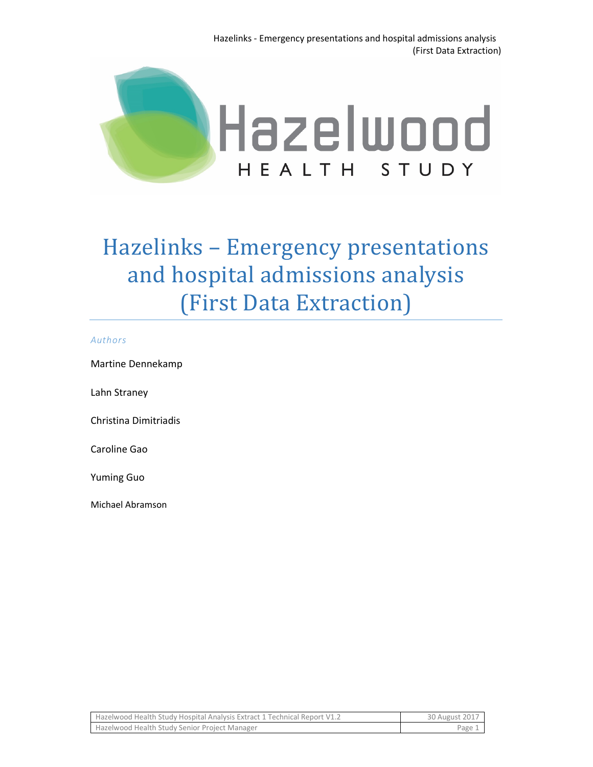

# Hazelinks - Emergency presentations and hospital admissions analysis (First Data Extraction)

#### *Authors*

Martine Dennekamp

Lahn Straney

Christina Dimitriadis

Caroline Gao

Yuming Guo

Michael Abramson

| Hazelwood Health Study Hospital Analysis Extract 1 Technical Report V1.2 | 30 August 2017 |
|--------------------------------------------------------------------------|----------------|
| Hazelwood Health Study Senior Project Manager                            | Page 1         |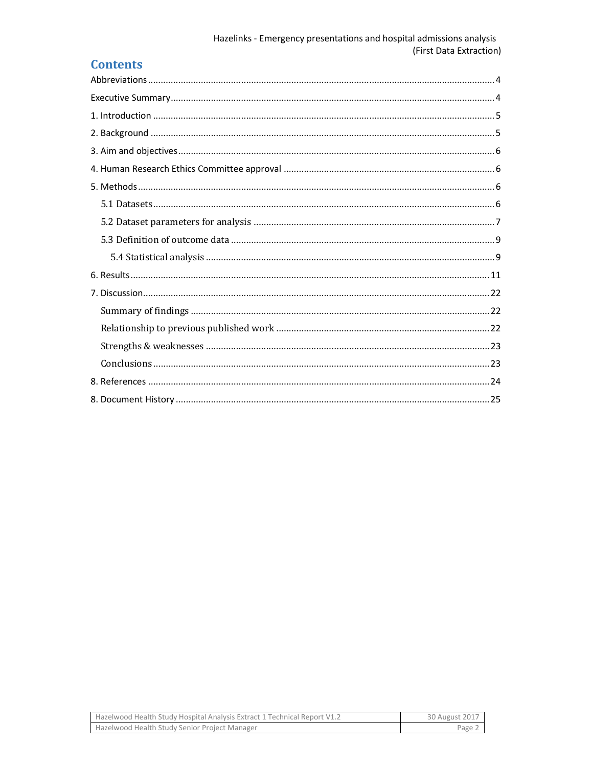## **Contents**

| Hazelwood Health Study Hospital Analysis Extract 1 Technical Report V1.2 | 30 August 2017 |
|--------------------------------------------------------------------------|----------------|
| Hazelwood Health Study Senior Project Manager                            | Page           |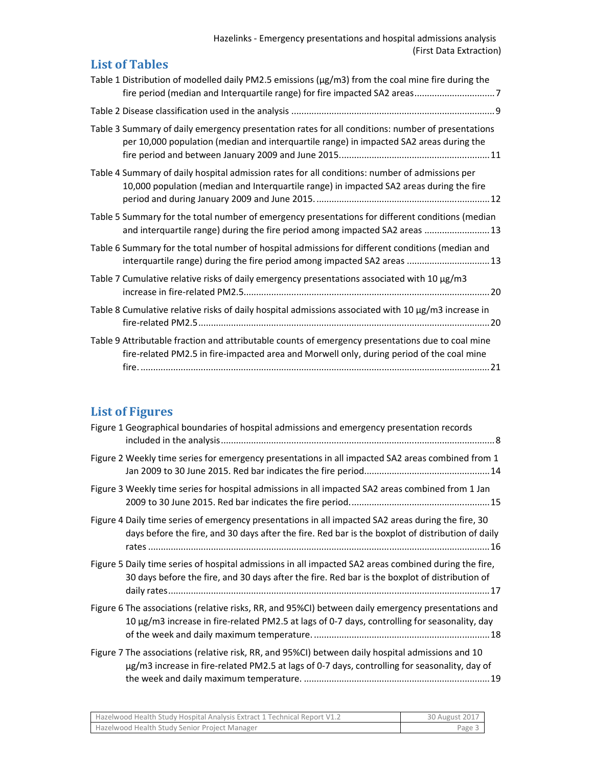Hazelinks - Emergency presentations and hospital admissions analysis (First Data Extraction)

| <b>List of Tables</b>                                                                                                                                                                          |
|------------------------------------------------------------------------------------------------------------------------------------------------------------------------------------------------|
| Table 1 Distribution of modelled daily PM2.5 emissions ( $\mu$ g/m3) from the coal mine fire during the                                                                                        |
|                                                                                                                                                                                                |
| Table 3 Summary of daily emergency presentation rates for all conditions: number of presentations<br>per 10,000 population (median and interquartile range) in impacted SA2 areas during the   |
| Table 4 Summary of daily hospital admission rates for all conditions: number of admissions per<br>10,000 population (median and Interquartile range) in impacted SA2 areas during the fire     |
| Table 5 Summary for the total number of emergency presentations for different conditions (median<br>and interquartile range) during the fire period among impacted SA2 areas  13               |
| Table 6 Summary for the total number of hospital admissions for different conditions (median and<br>interquartile range) during the fire period among impacted SA2 areas  13                   |
| Table 7 Cumulative relative risks of daily emergency presentations associated with 10 µg/m3                                                                                                    |
| Table 8 Cumulative relative risks of daily hospital admissions associated with 10 µg/m3 increase in                                                                                            |
| Table 9 Attributable fraction and attributable counts of emergency presentations due to coal mine<br>fire-related PM2.5 in fire-impacted area and Morwell only, during period of the coal mine |

## **List of Figures**

| Figure 1 Geographical boundaries of hospital admissions and emergency presentation records                                                                                                               |
|----------------------------------------------------------------------------------------------------------------------------------------------------------------------------------------------------------|
| Figure 2 Weekly time series for emergency presentations in all impacted SA2 areas combined from 1                                                                                                        |
| Figure 3 Weekly time series for hospital admissions in all impacted SA2 areas combined from 1 Jan                                                                                                        |
| Figure 4 Daily time series of emergency presentations in all impacted SA2 areas during the fire, 30<br>days before the fire, and 30 days after the fire. Red bar is the boxplot of distribution of daily |
| Figure 5 Daily time series of hospital admissions in all impacted SA2 areas combined during the fire,<br>30 days before the fire, and 30 days after the fire. Red bar is the boxplot of distribution of  |
| Figure 6 The associations (relative risks, RR, and 95%CI) between daily emergency presentations and<br>10 µg/m3 increase in fire-related PM2.5 at lags of 0-7 days, controlling for seasonality, day     |
| Figure 7 The associations (relative risk, RR, and 95%CI) between daily hospital admissions and 10<br>µg/m3 increase in fire-related PM2.5 at lags of 0-7 days, controlling for seasonality, day of       |

| Hazelwood Health Study Hospital Analysis Extract 1 Technical Report V1.2 | 30 August 2017 |
|--------------------------------------------------------------------------|----------------|
| <b>Hazelwood Health Study Senior Project Manager</b>                     | Page 3         |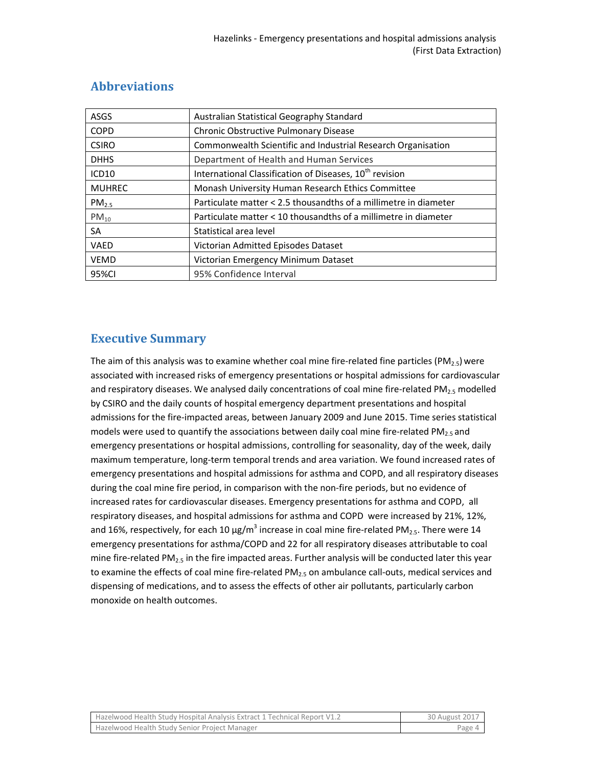| <b>ASGS</b>       | Australian Statistical Geography Standard                           |  |
|-------------------|---------------------------------------------------------------------|--|
| <b>COPD</b>       | Chronic Obstructive Pulmonary Disease                               |  |
| <b>CSIRO</b>      | Commonwealth Scientific and Industrial Research Organisation        |  |
| <b>DHHS</b>       | Department of Health and Human Services                             |  |
| ICD <sub>10</sub> | International Classification of Diseases, 10 <sup>th</sup> revision |  |
| <b>MUHREC</b>     | Monash University Human Research Ethics Committee                   |  |
| PM <sub>2.5</sub> | Particulate matter < 2.5 thousandths of a millimetre in diameter    |  |
| $PM_{10}$         | Particulate matter < 10 thousandths of a millimetre in diameter     |  |
| SA                | Statistical area level                                              |  |
| <b>VAED</b>       | Victorian Admitted Episodes Dataset                                 |  |
| <b>VEMD</b>       | Victorian Emergency Minimum Dataset                                 |  |
| 95%CI             | 95% Confidence Interval                                             |  |

## **Abbreviations**

## **Executive Summary**

The aim of this analysis was to examine whether coal mine fire-related fine particles (PM<sub>2.5</sub>) were associated with increased risks of emergency presentations or hospital admissions for cardiovascular and respiratory diseases. We analysed daily concentrations of coal mine fire-related  $PM_{2.5}$  modelled by CSIRO and the daily counts of hospital emergency department presentations and hospital admissions for the fire-impacted areas, between January 2009 and June 2015. Time series statistical models were used to quantify the associations between daily coal mine fire-related PM<sub>2.5</sub> and emergency presentations or hospital admissions, controlling for seasonality, day of the week, daily maximum temperature, long-term temporal trends and area variation. We found increased rates of emergency presentations and hospital admissions for asthma and COPD, and all respiratory diseases during the coal mine fire period, in comparison with the non-fire periods, but no evidence of increased rates for cardiovascular diseases. Emergency presentations for asthma and COPD, all respiratory diseases, and hospital admissions for asthma and COPD were increased by 21%, 12%, and 16%, respectively, for each 10  $\mu$ g/m<sup>3</sup> increase in coal mine fire-related PM<sub>2.5</sub>. There were 14 emergency presentations for asthma/COPD and 22 for all respiratory diseases attributable to coal mine fire-related PM<sub>2.5</sub> in the fire impacted areas. Further analysis will be conducted later this year to examine the effects of coal mine fire-related  $PM_{2.5}$  on ambulance call-outs, medical services and dispensing of medications, and to assess the effects of other air pollutants, particularly carbon monoxide on health outcomes.

| Hazelwood Health Study Hospital Analysis Extract 1 Technical Report V1.2 | 30 August 2017 |
|--------------------------------------------------------------------------|----------------|
| Hazelwood Health Study Senior Project Manager                            | Page 4         |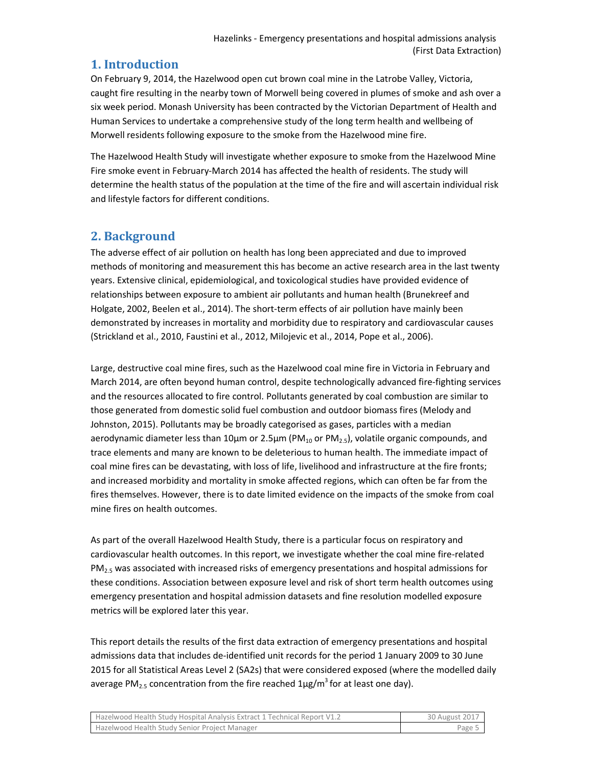## **1. Introduction**

On February 9, 2014, the Hazelwood open cut brown coal mine in the Latrobe Valley, Victoria, caught fire resulting in the nearby town of Morwell being covered in plumes of smoke and ash over a six week period. Monash University has been contracted by the Victorian Department of Health and Human Services to undertake a comprehensive study of the long term health and wellbeing of Morwell residents following exposure to the smoke from the Hazelwood mine fire.

The Hazelwood Health Study will investigate whether exposure to smoke from the Hazelwood Mine Fire smoke event in February-March 2014 has affected the health of residents. The study will determine the health status of the population at the time of the fire and will ascertain individual risk and lifestyle factors for different conditions.

## **2. Background**

The adverse effect of air pollution on health has long been appreciated and due to improved methods of monitoring and measurement this has become an active research area in the last twenty years. Extensive clinical, epidemiological, and toxicological studies have provided evidence of relationships between exposure to ambient air pollutants and human health (Brunekreef and Holgate, 2002, Beelen et al., 2014). The short-term effects of air pollution have mainly been demonstrated by increases in mortality and morbidity due to respiratory and cardiovascular causes (Strickland et al., 2010, Faustini et al., 2012, Milojevic et al., 2014, Pope et al., 2006).

Large, destructive coal mine fires, such as the Hazelwood coal mine fire in Victoria in February and March 2014, are often beyond human control, despite technologically advanced fire-fighting services and the resources allocated to fire control. Pollutants generated by coal combustion are similar to those generated from domestic solid fuel combustion and outdoor biomass fires (Melody and Johnston, 2015). Pollutants may be broadly categorised as gases, particles with a median aerodynamic diameter less than 10<sub>km</sub> or 2.5<sub>km</sub> (PM<sub>10</sub> or PM<sub>2.5</sub>), volatile organic compounds, and trace elements and many are known to be deleterious to human health. The immediate impact of coal mine fires can be devastating, with loss of life, livelihood and infrastructure at the fire fronts; and increased morbidity and mortality in smoke affected regions, which can often be far from the fires themselves. However, there is to date limited evidence on the impacts of the smoke from coal mine fires on health outcomes.

As part of the overall Hazelwood Health Study, there is a particular focus on respiratory and cardiovascular health outcomes. In this report, we investigate whether the coal mine fire-related PM<sub>2.5</sub> was associated with increased risks of emergency presentations and hospital admissions for these conditions. Association between exposure level and risk of short term health outcomes using emergency presentation and hospital admission datasets and fine resolution modelled exposure metrics will be explored later this year.

This report details the results of the first data extraction of emergency presentations and hospital admissions data that includes de-identified unit records for the period 1 January 2009 to 30 June 2015 for all Statistical Areas Level 2 (SA2s) that were considered exposed (where the modelled daily average PM<sub>2.5</sub> concentration from the fire reached 1 $\mu$ g/m<sup>3</sup> for at least one day).

| Hazelwood Health Study Hospital Analysis Extract 1 Technical Report V1.2 | 30 August 2017 |
|--------------------------------------------------------------------------|----------------|
| Hazelwood Health Study Senior Project Manager                            | Page :         |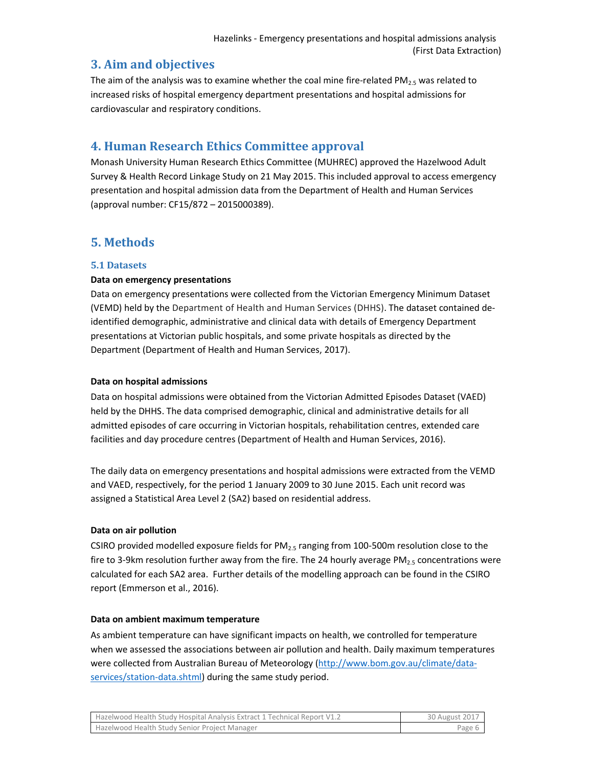## **3. Aim and objectives**

The aim of the analysis was to examine whether the coal mine fire-related PM<sub>2.5</sub> was related to increased risks of hospital emergency department presentations and hospital admissions for cardiovascular and respiratory conditions.

## **4. Human Research Ethics Committee approval**

Monash University Human Research Ethics Committee (MUHREC) approved the Hazelwood Adult Survey & Health Record Linkage Study on 21 May 2015. This included approval to access emergency presentation and hospital admission data from the Department of Health and Human Services (approval number: CF15/872 – 2015000389).

## **5. Methods**

#### **5.1 Datasets**

#### **Data on emergency presentations**

Data on emergency presentations were collected from the Victorian Emergency Minimum Dataset (VEMD) held by the Department of Health and Human Services (DHHS). The dataset contained deidentified demographic, administrative and clinical data with details of Emergency Department presentations at Victorian public hospitals, and some private hospitals as directed by the Department (Department of Health and Human Services, 2017).

#### **Data on hospital admissions**

Data on hospital admissions were obtained from the Victorian Admitted Episodes Dataset (VAED) held by the DHHS. The data comprised demographic, clinical and administrative details for all admitted episodes of care occurring in Victorian hospitals, rehabilitation centres, extended care facilities and day procedure centres (Department of Health and Human Services, 2016).

The daily data on emergency presentations and hospital admissions were extracted from the VEMD and VAED, respectively, for the period 1 January 2009 to 30 June 2015. Each unit record was assigned a Statistical Area Level 2 (SA2) based on residential address.

#### **Data on air pollution**

CSIRO provided modelled exposure fields for  $PM_{2.5}$  ranging from 100-500m resolution close to the fire to 3-9km resolution further away from the fire. The 24 hourly average PM<sub>2.5</sub> concentrations were calculated for each SA2 area. Further details of the modelling approach can be found in the CSIRO report (Emmerson et al., 2016).

#### **Data on ambient maximum temperature**

As ambient temperature can have significant impacts on health, we controlled for temperature when we assessed the associations between air pollution and health. Daily maximum temperatures were collected from Australian Bureau of Meteorology (http://www.bom.gov.au/climate/dataservices/station-data.shtml) during the same study period.

| Hazelwood Health Study Hospital Analysis Extract 1 Technical Report V1.2 | 30 August 2017 |
|--------------------------------------------------------------------------|----------------|
| Hazelwood Health Study Senior Project Manager                            | Page 6         |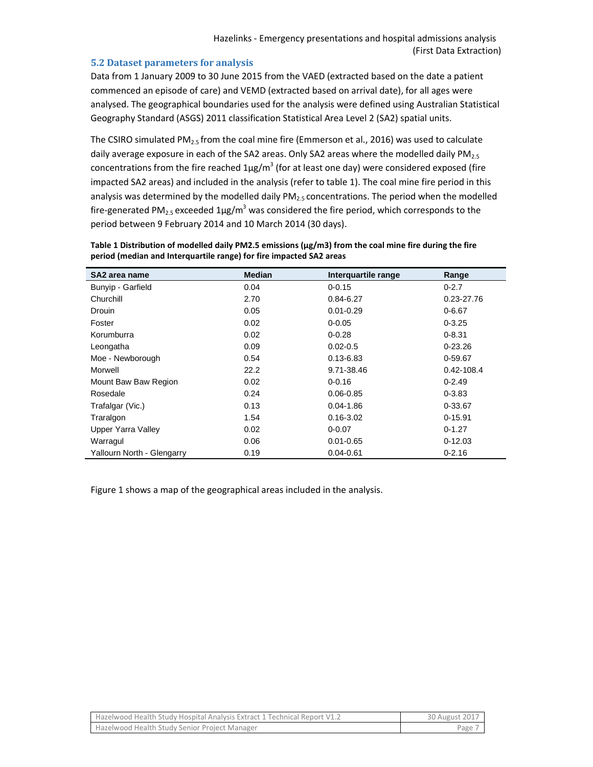#### **5.2 Dataset parameters for analysis**

Data from 1 January 2009 to 30 June 2015 from the VAED (extracted based on the date a patient commenced an episode of care) and VEMD (extracted based on arrival date), for all ages were analysed. The geographical boundaries used for the analysis were defined using Australian Statistical Geography Standard (ASGS) 2011 classification Statistical Area Level 2 (SA2) spatial units.

The CSIRO simulated PM<sub>2.5</sub> from the coal mine fire (Emmerson et al., 2016) was used to calculate daily average exposure in each of the SA2 areas. Only SA2 areas where the modelled daily  $PM_{2.5}$ concentrations from the fire reached  $1\mu$ g/m<sup>3</sup> (for at least one day) were considered exposed (fire impacted SA2 areas) and included in the analysis (refer to table 1). The coal mine fire period in this analysis was determined by the modelled daily  $PM<sub>2.5</sub>$  concentrations. The period when the modelled fire-generated PM<sub>2.5</sub> exceeded 1µg/m<sup>3</sup> was considered the fire period, which corresponds to the period between 9 February 2014 and 10 March 2014 (30 days).

| SA2 area name              | <b>Median</b> | Interquartile range | Range       |
|----------------------------|---------------|---------------------|-------------|
| Bunyip - Garfield          | 0.04          | $0 - 0.15$          | $0 - 2.7$   |
| Churchill                  | 2.70          | $0.84 - 6.27$       | 0.23-27.76  |
| <b>Drouin</b>              | 0.05          | $0.01 - 0.29$       | $0 - 6.67$  |
| Foster                     | 0.02          | $0 - 0.05$          | $0 - 3.25$  |
| Korumburra                 | 0.02          | $0 - 0.28$          | $0 - 8.31$  |
| Leongatha                  | 0.09          | $0.02 - 0.5$        | $0 - 23.26$ |
| Moe - Newborough           | 0.54          | $0.13 - 6.83$       | 0-59.67     |
| Morwell                    | 22.2          | 9.71-38.46          | 0.42-108.4  |
| Mount Baw Baw Region       | 0.02          | $0 - 0.16$          | $0 - 2.49$  |
| Rosedale                   | 0.24          | $0.06 - 0.85$       | $0 - 3.83$  |
| Trafalgar (Vic.)           | 0.13          | $0.04 - 1.86$       | 0-33.67     |
| Traralgon                  | 1.54          | $0.16 - 3.02$       | $0 - 15.91$ |
| Upper Yarra Valley         | 0.02          | $0 - 0.07$          | $0 - 1.27$  |
| Warragul                   | 0.06          | $0.01 - 0.65$       | $0 - 12.03$ |
| Yallourn North - Glengarry | 0.19          | $0.04 - 0.61$       | $0 - 2.16$  |

**Table 1 Distribution of modelled daily PM2.5 emissions (μg/m3) from the coal mine fire during the fire period (median and Interquartile range) for fire impacted SA2 areas** 

Figure 1 shows a map of the geographical areas included in the analysis.

| Hazelwood Health Study Hospital Analysis Extract 1 Technical Report V1.2 | 30 August 2017 |
|--------------------------------------------------------------------------|----------------|
| Hazelwood Health Study Senior Project Manager                            | Page           |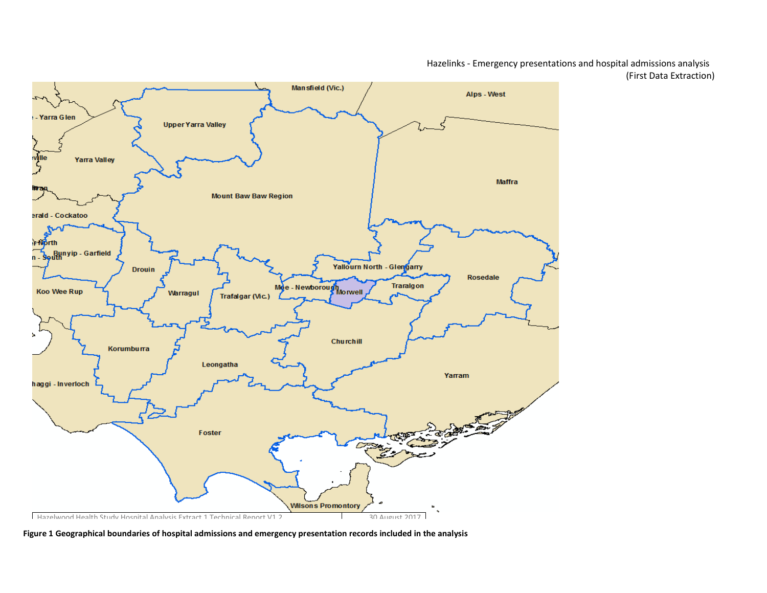Hazelinks - Emergency presentations and hospital admissions analysis (First Data Extraction)



Figure 1 Geographical boundaries of hospital admissions and emergency presentation records included in the analysis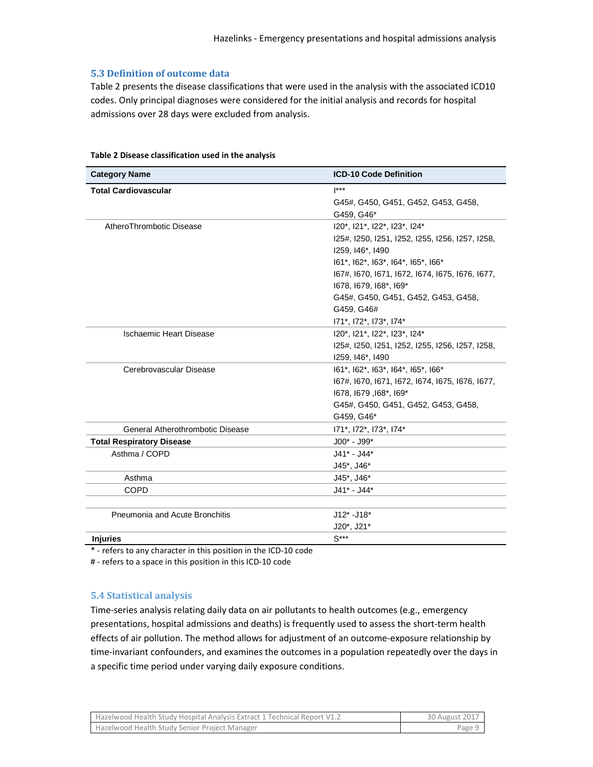#### **5.3 Definition of outcome data**

Table 2 presents the disease classifications that were used in the analysis with the associated ICD10 codes. Only principal diagnoses were considered for the initial analysis and records for hospital admissions over 28 days were excluded from analysis.

| <b>Category Name</b>             | <b>ICD-10 Code Definition</b>                   |
|----------------------------------|-------------------------------------------------|
| <b>Total Cardiovascular</b>      | $^{\star\star\star}$                            |
|                                  | G45#, G450, G451, G452, G453, G458,             |
|                                  | G459, G46*                                      |
| AtheroThrombotic Disease         | I20*, I21*, I22*, I23*, I24*                    |
|                                  | 125#, 1250, 1251, 1252, 1255, 1256, 1257, 1258, |
|                                  | I259, I46*, I490                                |
|                                  | 161*, 162*, 163*, 164*, 165*, 166*              |
|                                  | 167#, 1670, 1671, 1672, 1674, 1675, 1676, 1677, |
|                                  | 1678, 1679, 168*, 169*                          |
|                                  | G45#, G450, G451, G452, G453, G458,             |
|                                  | G459, G46#                                      |
|                                  | 171*, 172*, 173*, 174*                          |
| <b>Ischaemic Heart Disease</b>   | I20*, I21*, I22*, I23*, I24*                    |
|                                  | 125#, 1250, 1251, 1252, 1255, 1256, 1257, 1258, |
|                                  | I259, I46*, I490                                |
| Cerebrovascular Disease          | 161*, 162*, 163*, 164*, 165*, 166*              |
|                                  | 167#, 1670, 1671, 1672, 1674, 1675, 1676, 1677, |
|                                  | 1678, 1679, 168*, 169*                          |
|                                  | G45#, G450, G451, G452, G453, G458,             |
|                                  | G459, G46*                                      |
| General Atherothrombotic Disease | 171*, 172*, 173*, 174*                          |
| <b>Total Respiratory Disease</b> | $JO0* - J99*$                                   |
| Asthma / COPD                    | $J41* - J44*$                                   |
|                                  | J45*, J46*                                      |
| Asthma                           | J45*, J46*                                      |
| <b>COPD</b>                      | J41* - J44*                                     |
| Pneumonia and Acute Bronchitis   | $J12$ * - $J18$ *                               |
|                                  | J20*, J21*                                      |
| <b>Injuries</b>                  | $S***$                                          |

#### **Table 2 Disease classification used in the analysis**

\* - refers to any character in this position in the ICD-10 code

# - refers to a space in this position in this ICD-10 code

#### **5.4 Statistical analysis**

Time-series analysis relating daily data on air pollutants to health outcomes (e.g., emergency presentations, hospital admissions and deaths) is frequently used to assess the short-term health effects of air pollution. The method allows for adjustment of an outcome-exposure relationship by time-invariant confounders, and examines the outcomes in a population repeatedly over the days in a specific time period under varying daily exposure conditions.

| <b>Hazelwood Health Study Hospital Analysis Extract 1 Technical Report V1.2</b> | 30 August 2017 |
|---------------------------------------------------------------------------------|----------------|
| Hazelwood Health Study Senior Project Manager                                   | Page 9         |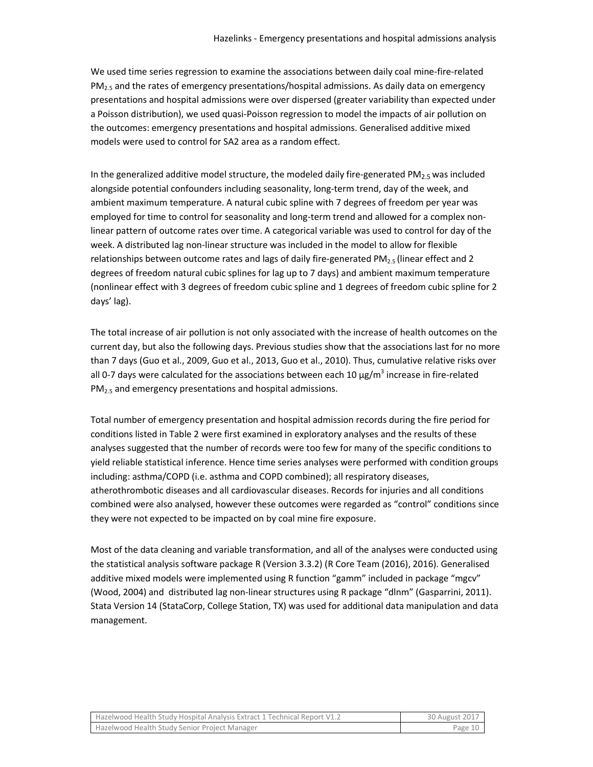We used time series regression to examine the associations between daily coal mine-fire-related  $PM<sub>2.5</sub>$  and the rates of emergency presentations/hospital admissions. As daily data on emergency presentations and hospital admissions were over dispersed (greater variability than expected under a Poisson distribution), we used quasi-Poisson regression to model the impacts of air pollution on the outcomes: emergency presentations and hospital admissions. Generalised additive mixed models were used to control for SA2 area as a random effect.

In the generalized additive model structure, the modeled daily fire-generated  $PM_{2.5}$  was included alongside potential confounders including seasonality, long-term trend, day of the week, and ambient maximum temperature. A natural cubic spline with 7 degrees of freedom per year was employed for time to control for seasonality and long-term trend and allowed for a complex nonlinear pattern of outcome rates over time. A categorical variable was used to control for day of the week. A distributed lag non-linear structure was included in the model to allow for flexible relationships between outcome rates and lags of daily fire-generated PM<sub>2.5</sub> (linear effect and 2 degrees of freedom natural cubic splines for lag up to 7 days) and ambient maximum temperature (nonlinear effect with 3 degrees of freedom cubic spline and 1 degrees of freedom cubic spline for 2 days' lag).

The total increase of air pollution is not only associated with the increase of health outcomes on the current day, but also the following days. Previous studies show that the associations last for no more than 7 days (Guo et al., 2009, Guo et al., 2013, Guo et al., 2010). Thus, cumulative relative risks over all 0-7 days were calculated for the associations between each 10  $\mu$ g/m<sup>3</sup> increase in fire-related  $PM<sub>2.5</sub>$  and emergency presentations and hospital admissions.

Total number of emergency presentation and hospital admission records during the fire period for conditions listed in Table 2 were first examined in exploratory analyses and the results of these analyses suggested that the number of records were too few for many of the specific conditions to yield reliable statistical inference. Hence time series analyses were performed with condition groups including: asthma/COPD (i.e. asthma and COPD combined); all respiratory diseases, atherothrombotic diseases and all cardiovascular diseases. Records for injuries and all conditions combined were also analysed, however these outcomes were regarded as "control" conditions since they were not expected to be impacted on by coal mine fire exposure.

Most of the data cleaning and variable transformation, and all of the analyses were conducted using the statistical analysis software package R (Version 3.3.2) (R Core Team (2016), 2016). Generalised additive mixed models were implemented using R function "gamm" included in package "mgcv" (Wood, 2004) and distributed lag non-linear structures using R package "dlnm" (Gasparrini, 2011). Stata Version 14 (StataCorp, College Station, TX) was used for additional data manipulation and data management.

| Hazelwood Health Study Hospital Analysis Extract 1 Technical Report V1.2 | 30 August 2017 |
|--------------------------------------------------------------------------|----------------|
| Hazelwood Health Study Senior Project Manager                            | Page 10        |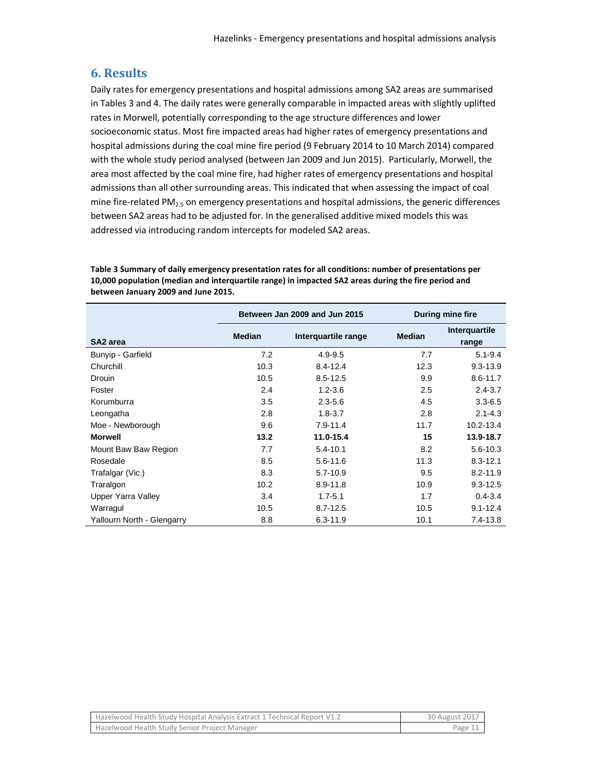## **6. Results**

Daily rates for emergency presentations and hospital admissions among SA2 areas are summarised in Tables 3 and 4. The daily rates were generally comparable in impacted areas with slightly uplifted rates in Morwell, potentially corresponding to the age structure differences and lower socioeconomic status. Most fire impacted areas had higher rates of emergency presentations and hospital admissions during the coal mine fire period (9 February 2014 to 10 March 2014) compared with the whole study period analysed (between Jan 2009 and Jun 2015). Particularly, Morwell, the area most affected by the coal mine fire, had higher rates of emergency presentations and hospital admissions than all other surrounding areas. This indicated that when assessing the impact of coal mine fire-related  $PM_{2.5}$  on emergency presentations and hospital admissions, the generic differences between SA2 areas had to be adjusted for. In the generalised additive mixed models this was addressed via introducing random intercepts for modeled SA2 areas.

**Table 3 Summary of daily emergency presentation rates for all conditions: number of presentations per 10,000 population (median and interquartile range) in impacted SA2 areas during the fire period and between January 2009 and June 2015.**

|                            | Between Jan 2009 and Jun 2015 |                     | During mine fire |                        |
|----------------------------|-------------------------------|---------------------|------------------|------------------------|
| SA <sub>2</sub> area       | <b>Median</b>                 | Interquartile range | <b>Median</b>    | Interquartile<br>range |
| Bunyip - Garfield          | 7.2                           | $4.9 - 9.5$         | 7.7              | $5.1 - 9.4$            |
| Churchill                  | 10.3                          | $8.4 - 12.4$        | 12.3             | $9.3 - 13.9$           |
| Drouin                     | 10.5                          | $8.5 - 12.5$        | 9.9              | $8.6 - 11.7$           |
| Foster                     | 2.4                           | $1.2 - 3.6$         | 2.5              | $2.4 - 3.7$            |
| Korumburra                 | 3.5                           | $2.3 - 5.6$         | 4.5              | $3.3 - 6.5$            |
| Leongatha                  | 2.8                           | $1.8 - 3.7$         | 2.8              | $2.1 - 4.3$            |
| Moe - Newborough           | 9.6                           | $7.9 - 11.4$        | 11.7             | $10.2 - 13.4$          |
| <b>Morwell</b>             | 13.2                          | 11.0-15.4           | 15               | 13.9-18.7              |
| Mount Baw Baw Region       | 7.7                           | $5.4 - 10.1$        | 8.2              | 5.6-10.3               |
| Rosedale                   | 8.5                           | $5.6 - 11.6$        | 11.3             | $8.3 - 12.1$           |
| Trafalgar (Vic.)           | 8.3                           | $5.7 - 10.9$        | 9.5              | $8.2 - 11.9$           |
| Traralgon                  | 10.2                          | $8.9 - 11.8$        | 10.9             | $9.3 - 12.5$           |
| <b>Upper Yarra Valley</b>  | 3.4                           | $1.7 - 5.1$         | 1.7              | $0.4 - 3.4$            |
| Warragul                   | 10.5                          | $8.7 - 12.5$        | 10.5             | $9.1 - 12.4$           |
| Yallourn North - Glengarry | 8.8                           | $6.3 - 11.9$        | 10.1             | $7.4 - 13.8$           |

| Hazelwood Health Study Hospital Analysis Extract 1 Technical Report V1.2 | 30 August 2017 |
|--------------------------------------------------------------------------|----------------|
| Hazelwood Health Study Senior Project Manager                            | Page 11        |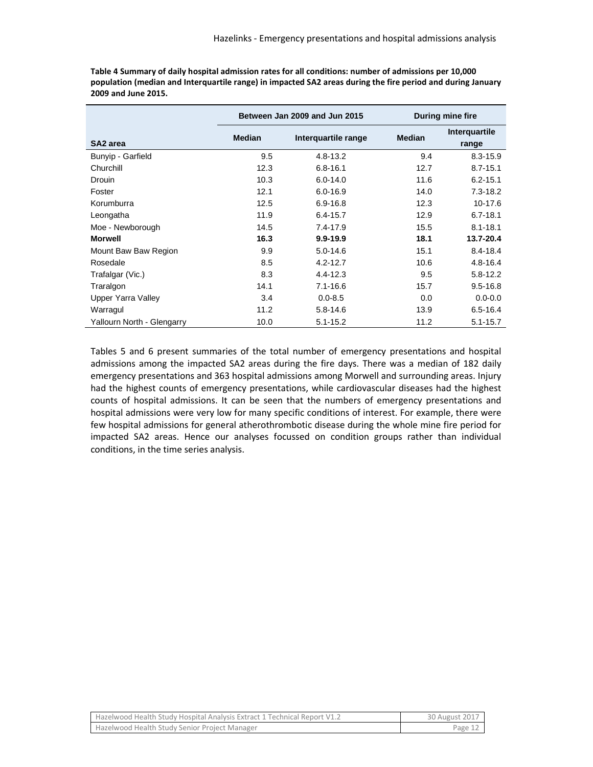|                            | Between Jan 2009 and Jun 2015 |                     |               | During mine fire       |
|----------------------------|-------------------------------|---------------------|---------------|------------------------|
| SA <sub>2</sub> area       | <b>Median</b>                 | Interquartile range | <b>Median</b> | Interquartile<br>range |
| Bunyip - Garfield          | 9.5                           | $4.8 - 13.2$        | 9.4           | $8.3 - 15.9$           |
| Churchill                  | 12.3                          | $6.8 - 16.1$        | 12.7          | $8.7 - 15.1$           |
| Drouin                     | 10.3                          | $6.0 - 14.0$        | 11.6          | $6.2 - 15.1$           |
| Foster                     | 12.1                          | $6.0 - 16.9$        | 14.0          | $7.3 - 18.2$           |
| Korumburra                 | 12.5                          | $6.9 - 16.8$        | 12.3          | 10-17.6                |
| Leongatha                  | 11.9                          | $6.4 - 15.7$        | 12.9          | $6.7 - 18.1$           |
| Moe - Newborough           | 14.5                          | $7.4 - 17.9$        | 15.5          | $8.1 - 18.1$           |
| <b>Morwell</b>             | 16.3                          | $9.9 - 19.9$        | 18.1          | 13.7-20.4              |
| Mount Baw Baw Region       | 9.9                           | $5.0 - 14.6$        | 15.1          | $8.4 - 18.4$           |
| Rosedale                   | 8.5                           | $4.2 - 12.7$        | 10.6          | $4.8 - 16.4$           |
| Trafalgar (Vic.)           | 8.3                           | $4.4 - 12.3$        | 9.5           | $5.8 - 12.2$           |
| Traralgon                  | 14.1                          | $7.1 - 16.6$        | 15.7          | $9.5 - 16.8$           |
| Upper Yarra Valley         | 3.4                           | $0.0 - 8.5$         | 0.0           | $0.0 - 0.0$            |
| Warragul                   | 11.2                          | $5.8 - 14.6$        | 13.9          | $6.5 - 16.4$           |
| Yallourn North - Glengarry | 10.0                          | $5.1 - 15.2$        | 11.2          | $5.1 - 15.7$           |

**Table 4 Summary of daily hospital admission rates for all conditions: number of admissions per 10,000 population (median and Interquartile range) in impacted SA2 areas during the fire period and during January 2009 and June 2015.**

Tables 5 and 6 present summaries of the total number of emergency presentations and hospital admissions among the impacted SA2 areas during the fire days. There was a median of 182 daily emergency presentations and 363 hospital admissions among Morwell and surrounding areas. Injury had the highest counts of emergency presentations, while cardiovascular diseases had the highest counts of hospital admissions. It can be seen that the numbers of emergency presentations and hospital admissions were very low for many specific conditions of interest. For example, there were few hospital admissions for general atherothrombotic disease during the whole mine fire period for impacted SA2 areas. Hence our analyses focussed on condition groups rather than individual conditions, in the time series analysis.

| Hazelwood Health Study Hospital Analysis Extract 1 Technical Report V1.2 | 30 August 2017 |
|--------------------------------------------------------------------------|----------------|
| Hazelwood Health Study Senior Project Manager                            | Page 12        |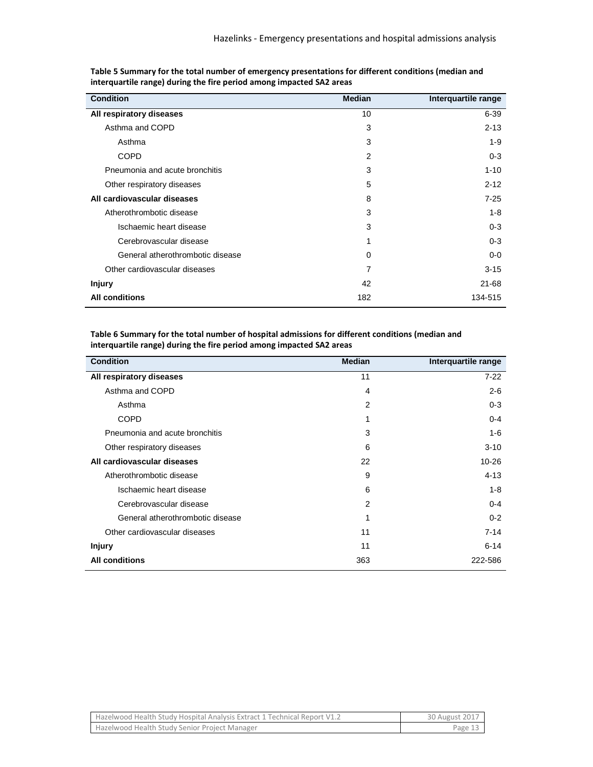| <b>Condition</b>                 | <b>Median</b>  | Interquartile range |
|----------------------------------|----------------|---------------------|
| All respiratory diseases         | 10             | $6 - 39$            |
| Asthma and COPD                  | 3              | $2 - 13$            |
| Asthma                           | 3              | $1 - 9$             |
| <b>COPD</b>                      | $\overline{2}$ | $0 - 3$             |
| Pneumonia and acute bronchitis   | 3              | $1 - 10$            |
| Other respiratory diseases       | 5              | $2 - 12$            |
| All cardiovascular diseases      | 8              | $7-25$              |
| Atherothrombotic disease         | 3              | $1 - 8$             |
| Ischaemic heart disease          | 3              | $0 - 3$             |
| Cerebrovascular disease          | 1              | $0 - 3$             |
| General atherothrombotic disease | 0              | $0-0$               |
| Other cardiovascular diseases    | 7              | $3 - 15$            |
| <b>Injury</b>                    | 42             | $21 - 68$           |
| <b>All conditions</b>            | 182            | 134-515             |

**Table 5 Summary for the total number of emergency presentations for different conditions (median and interquartile range) during the fire period among impacted SA2 areas** 

**Table 6 Summary for the total number of hospital admissions for different conditions (median and interquartile range) during the fire period among impacted SA2 areas**

| <b>Condition</b>                 | <b>Median</b>  | Interquartile range |
|----------------------------------|----------------|---------------------|
| All respiratory diseases         | 11             | $7-22$              |
| Asthma and COPD                  | $\overline{4}$ | $2-6$               |
| Asthma                           | $\overline{2}$ | $0 - 3$             |
| <b>COPD</b>                      | 1              | $0 - 4$             |
| Pneumonia and acute bronchitis   | 3              | $1 - 6$             |
| Other respiratory diseases       | 6              | $3 - 10$            |
| All cardiovascular diseases      | 22             | $10 - 26$           |
| Atherothrombotic disease         | 9              | $4 - 13$            |
| Ischaemic heart disease          | 6              | $1 - 8$             |
| Cerebrovascular disease          | $\overline{2}$ | $0 - 4$             |
| General atherothrombotic disease | 1              | $0 - 2$             |
| Other cardiovascular diseases    | 11             | $7 - 14$            |
| <b>Injury</b>                    | 11             | $6 - 14$            |
| <b>All conditions</b>            | 363            | 222-586             |

| Hazelwood Health Study Hospital Analysis Extract 1 Technical Report V1.2 | 30 August 2017 |
|--------------------------------------------------------------------------|----------------|
| Hazelwood Health Study Senior Project Manager                            | Page 13        |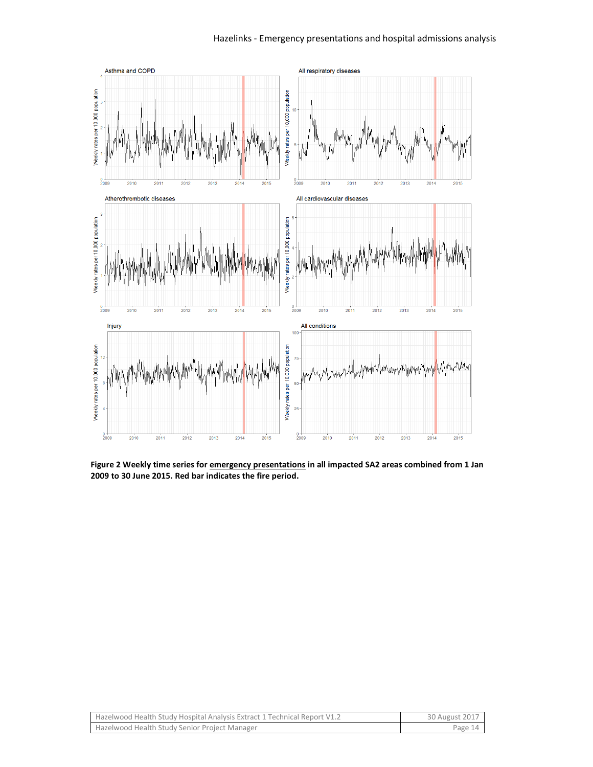

**Figure 2 Weekly time series for emergency presentations in all impacted SA2 areas combined from 1 Jan 2009 to 30 June 2015. Red bar indicates the fire period.** 

| Hazelwood Health Study Hospital Analysis Extract 1 Technical Report V1.2 | 30 August 2017 |
|--------------------------------------------------------------------------|----------------|
| Hazelwood Health Study Senior Project Manager                            | Page 14        |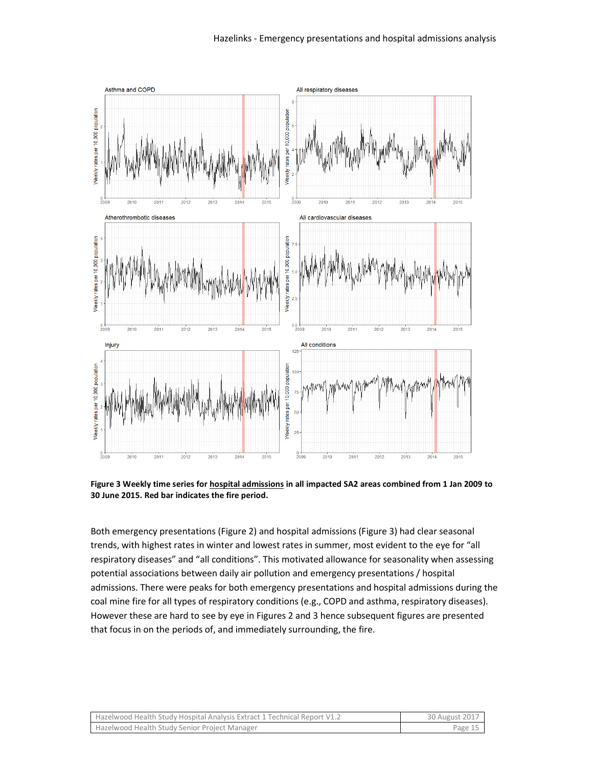

**Figure 3 Weekly time series for hospital admissions in all impacted SA2 areas combined from 1 Jan 2009 to 30 June 2015. Red bar indicates the fire period.**

Both emergency presentations (Figure 2) and hospital admissions (Figure 3) had clear seasonal trends, with highest rates in winter and lowest rates in summer, most evident to the eye for "all respiratory diseases" and "all conditions". This motivated allowance for seasonality when assessing potential associations between daily air pollution and emergency presentations / hospital admissions. There were peaks for both emergency presentations and hospital admissions during the coal mine fire for all types of respiratory conditions (e.g., COPD and asthma, respiratory diseases). However these are hard to see by eye in Figures 2 and 3 hence subsequent figures are presented that focus in on the periods of, and immediately surrounding, the fire.

| Hazelwood Health Study Hospital Analysis Extract 1 Technical Report V1.2 | 30 August 2017 |
|--------------------------------------------------------------------------|----------------|
| Hazelwood Health Study Senior Project Manager                            | Page 15        |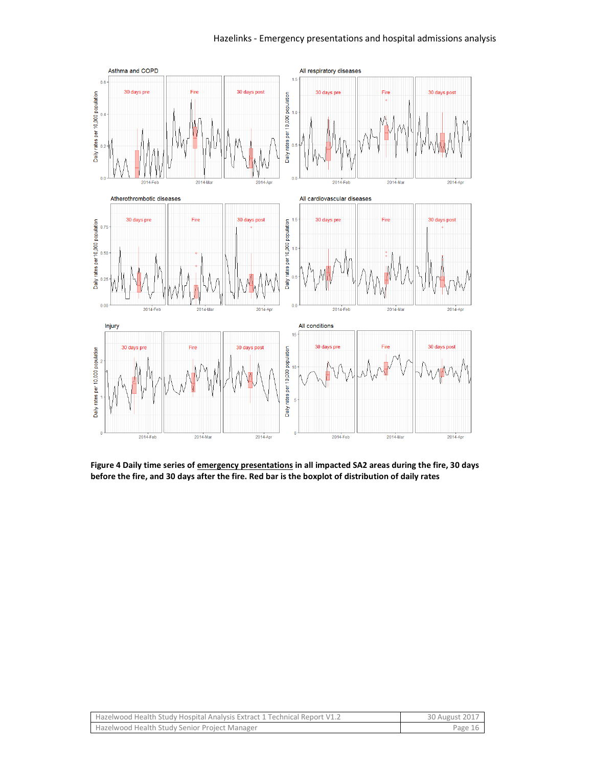#### Hazelinks - Emergency presentations and hospital admissions analysis



**Figure 4 Daily time series of emergency presentations in all impacted SA2 areas during the fire, 30 days before the fire, and 30 days after the fire. Red bar is the boxplot of distribution of daily rates**

| Hazelwood Health Study Hospital Analysis Extract 1 Technical Report V1.2 | 30 August 2017 |
|--------------------------------------------------------------------------|----------------|
| Hazelwood Health Study Senior Project Manager                            | Page 16        |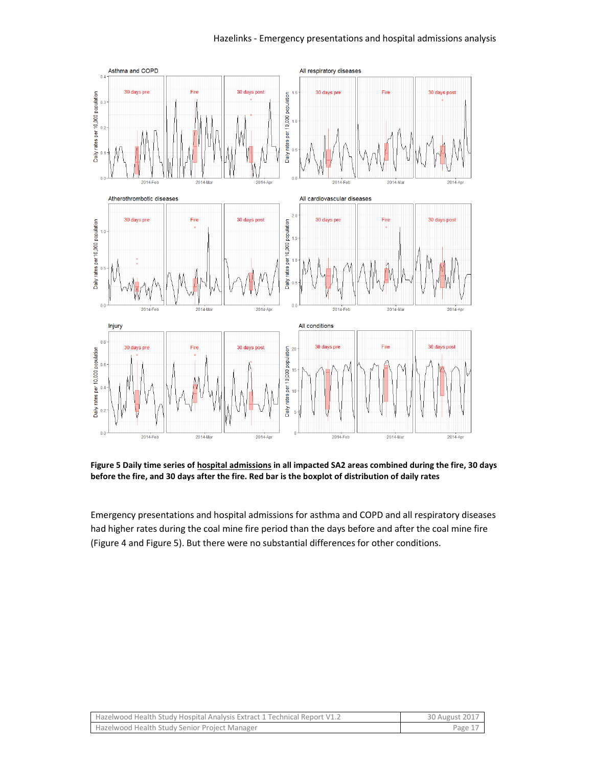

**Figure 5 Daily time series of hospital admissions in all impacted SA2 areas combined during the fire, 30 days before the fire, and 30 days after the fire. Red bar is the boxplot of distribution of daily rates**

Emergency presentations and hospital admissions for asthma and COPD and all respiratory diseases had higher rates during the coal mine fire period than the days before and after the coal mine fire (Figure 4 and Figure 5). But there were no substantial differences for other conditions.

| Hazelwood Health Study Hospital Analysis Extract 1 Technical Report V1.2 | 30 August 2017 |
|--------------------------------------------------------------------------|----------------|
| Hazelwood Health Study Senior Project Manager                            | Page 1         |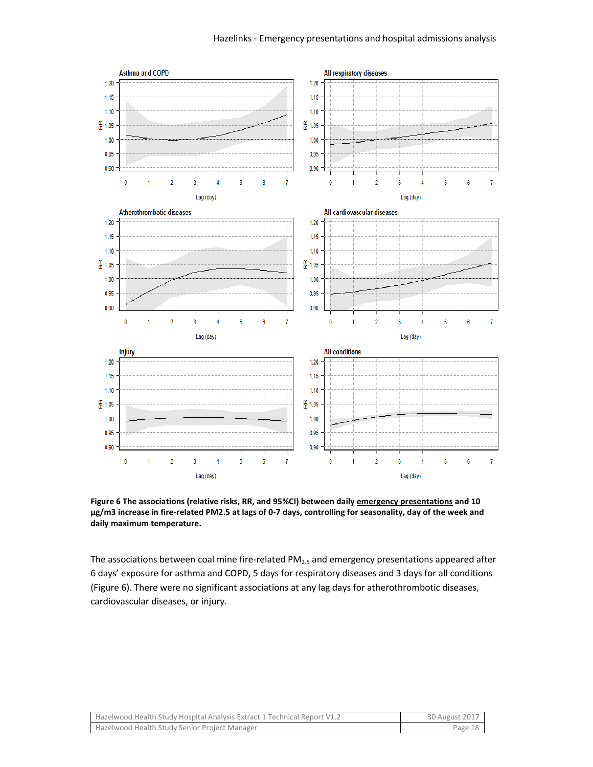

**Figure 6 The associations (relative risks, RR, and 95%CI) between daily emergency presentations and 10 µg/m3 increase in fire-related PM2.5 at lags of 0-7 days, controlling for seasonality, day of the week and daily maximum temperature.**

The associations between coal mine fire-related PM $_{2.5}$  and emergency presentations appeared after 6 days' exposure for asthma and COPD, 5 days for respiratory diseases and 3 days for all conditions (Figure 6). There were no significant associations at any lag days for atherothrombotic diseases, cardiovascular diseases, or injury.

| Hazelwood Health Study Hospital Analysis Extract 1 Technical Report V1.2 | 30 August 2017 |
|--------------------------------------------------------------------------|----------------|
| Hazelwood Health Study Senior Project Manager                            | Page 18        |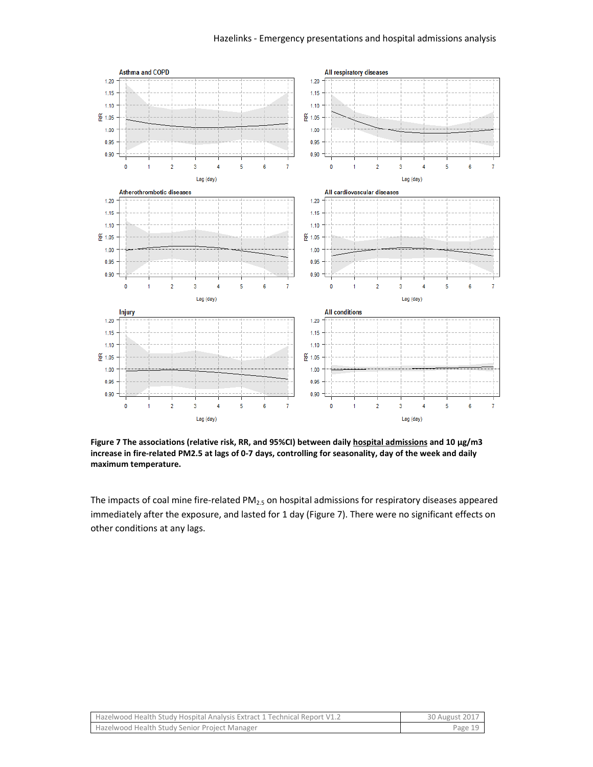

**Figure 7 The associations (relative risk, RR, and 95%CI) between daily hospital admissions and 10 µg/m3 increase in fire-related PM2.5 at lags of 0-7 days, controlling for seasonality, day of the week and daily maximum temperature.**

The impacts of coal mine fire-related  $PM<sub>2.5</sub>$  on hospital admissions for respiratory diseases appeared immediately after the exposure, and lasted for 1 day (Figure 7). There were no significant effects on other conditions at any lags.

| Hazelwood Health Study Hospital Analysis Extract 1 Technical Report V1.2 | 30 August 2017 |
|--------------------------------------------------------------------------|----------------|
| Hazelwood Health Study Senior Project Manager                            | Page 19        |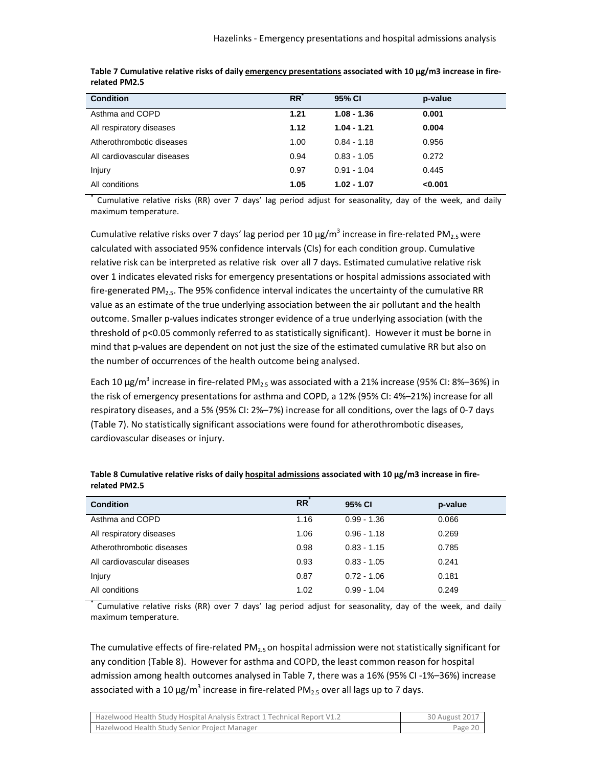| <b>Condition</b>            | <b>RR</b> | 95% CI        | p-value |
|-----------------------------|-----------|---------------|---------|
| Asthma and COPD             | 1.21      | $1.08 - 1.36$ | 0.001   |
| All respiratory diseases    | 1.12      | $1.04 - 1.21$ | 0.004   |
| Atherothrombotic diseases   | 1.00      | $0.84 - 1.18$ | 0.956   |
| All cardiovascular diseases | 0.94      | $0.83 - 1.05$ | 0.272   |
| Injury                      | 0.97      | $0.91 - 1.04$ | 0.445   |
| All conditions              | 1.05      | $1.02 - 1.07$ | < 0.001 |

| Table 7 Cumulative relative risks of daily emergency presentations associated with 10 μg/m3 increase in fire- |  |
|---------------------------------------------------------------------------------------------------------------|--|
| related PM2.5                                                                                                 |  |

\* Cumulative relative risks (RR) over 7 days' lag period adjust for seasonality, day of the week, and daily maximum temperature.

Cumulative relative risks over 7 days' lag period per 10  $\mu$ g/m<sup>3</sup> increase in fire-related PM<sub>2.5</sub> were calculated with associated 95% confidence intervals (CIs) for each condition group. Cumulative relative risk can be interpreted as relative risk over all 7 days. Estimated cumulative relative risk over 1 indicates elevated risks for emergency presentations or hospital admissions associated with fire-generated PM<sub>2.5</sub>. The 95% confidence interval indicates the uncertainty of the cumulative RR value as an estimate of the true underlying association between the air pollutant and the health outcome. Smaller p-values indicates stronger evidence of a true underlying association (with the threshold of  $p<0.05$  commonly referred to as statistically significant). However it must be borne in mind that p-values are dependent on not just the size of the estimated cumulative RR but also on the number of occurrences of the health outcome being analysed.

Each 10  $\mu$ g/m<sup>3</sup> increase in fire-related PM<sub>2.5</sub> was associated with a 21% increase (95% CI: 8%–36%) in the risk of emergency presentations for asthma and COPD, a 12% (95% CI: 4%–21%) increase for all respiratory diseases, and a 5% (95% CI: 2%–7%) increase for all conditions, over the lags of 0-7 days (Table 7). No statistically significant associations were found for atherothrombotic diseases, cardiovascular diseases or injury.

| <b>Condition</b>            | RR   | 95% CI        | p-value |
|-----------------------------|------|---------------|---------|
| Asthma and COPD             | 1.16 | $0.99 - 1.36$ | 0.066   |
| All respiratory diseases    | 1.06 | $0.96 - 1.18$ | 0.269   |
| Atherothrombotic diseases   | 0.98 | $0.83 - 1.15$ | 0.785   |
| All cardiovascular diseases | 0.93 | $0.83 - 1.05$ | 0.241   |
| Injury                      | 0.87 | $0.72 - 1.06$ | 0.181   |
| All conditions              | 1.02 | $0.99 - 1.04$ | 0.249   |

Table 8 Cumulative relative risks of daily hospital admissions associated with 10 µg/m3 increase in fire**related PM2.5**

\* Cumulative relative risks (RR) over 7 days' lag period adjust for seasonality, day of the week, and daily maximum temperature.

The cumulative effects of fire-related  $PM_{2.5}$  on hospital admission were not statistically significant for any condition (Table 8). However for asthma and COPD, the least common reason for hospital admission among health outcomes analysed in Table 7, there was a 16% (95% CI -1%–36%) increase associated with a 10  $\mu$ g/m<sup>3</sup> increase in fire-related PM<sub>2.5</sub> over all lags up to 7 days.

| Hazelwood Health Study Hospital Analysis Extract 1 Technical Report V1.2 | 30 August 2017 |
|--------------------------------------------------------------------------|----------------|
| Hazelwood Health Study Senior Project Manager                            | Page 20        |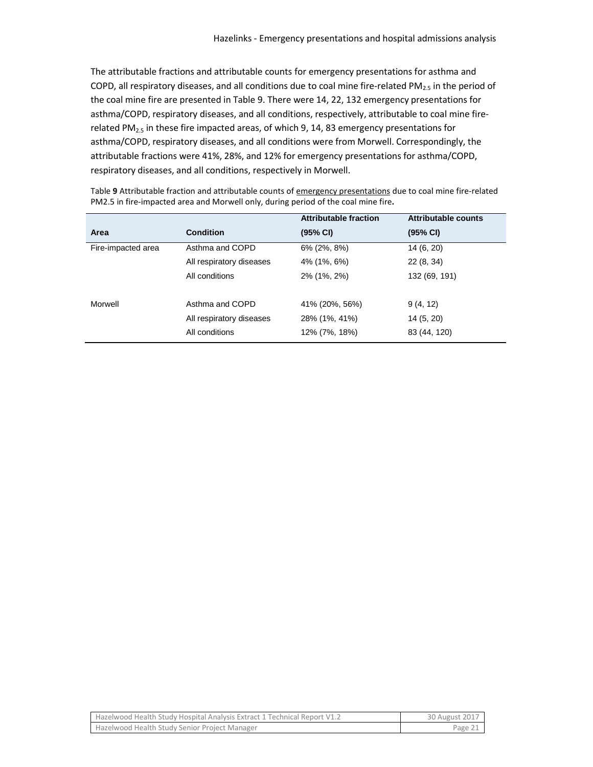The attributable fractions and attributable counts for emergency presentations for asthma and COPD, all respiratory diseases, and all conditions due to coal mine fire-related PM<sub>2.5</sub> in the period of the coal mine fire are presented in Table 9. There were 14, 22, 132 emergency presentations for asthma/COPD, respiratory diseases, and all conditions, respectively, attributable to coal mine firerelated PM<sub>2.5</sub> in these fire impacted areas, of which 9, 14, 83 emergency presentations for asthma/COPD, respiratory diseases, and all conditions were from Morwell. Correspondingly, the attributable fractions were 41%, 28%, and 12% for emergency presentations for asthma/COPD, respiratory diseases, and all conditions, respectively in Morwell.

| Table 9 Attributable fraction and attributable counts of emergency presentations due to coal mine fire-related |
|----------------------------------------------------------------------------------------------------------------|
| PM2.5 in fire-impacted area and Morwell only, during period of the coal mine fire.                             |

|                    |                          | <b>Attributable fraction</b> | Attributable counts |  |
|--------------------|--------------------------|------------------------------|---------------------|--|
| Area               | <b>Condition</b>         | (95% CI)                     | (95% CI)            |  |
| Fire-impacted area | Asthma and COPD          | 6% (2%, 8%)                  | 14 (6, 20)          |  |
|                    | All respiratory diseases | 4% (1%, 6%)                  | 22(8, 34)           |  |
|                    | All conditions           | 2% (1%, 2%)                  | 132 (69, 191)       |  |
| Morwell            | Asthma and COPD          | 41% (20%, 56%)               | 9(4, 12)            |  |
|                    | All respiratory diseases | 28% (1%, 41%)                | 14(5, 20)           |  |
|                    | All conditions           | 12% (7%, 18%)                | 83 (44, 120)        |  |

| Hazelwood Health Study Hospital Analysis Extract 1 Technical Report V1.2 | 30 August 2017 |
|--------------------------------------------------------------------------|----------------|
| Hazelwood Health Study Senior Project Manager                            | Page 21        |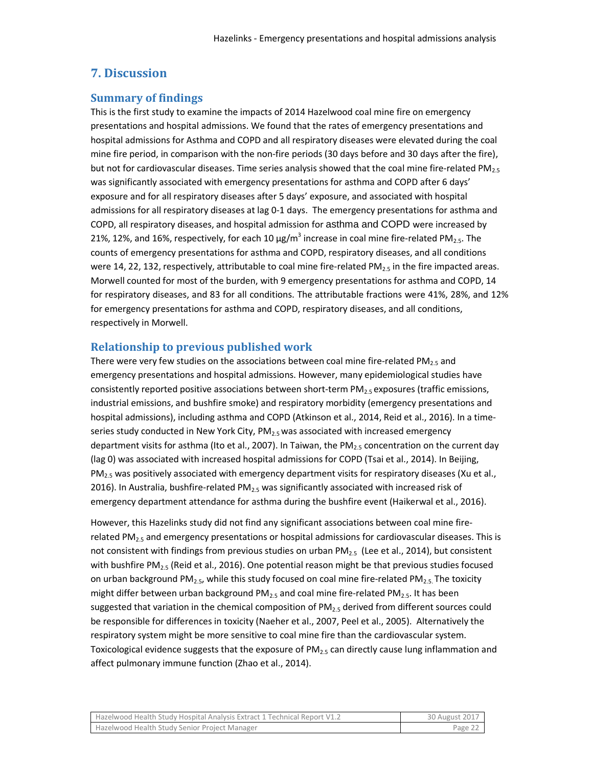## **7. Discussion**

#### **Summary of findings**

This is the first study to examine the impacts of 2014 Hazelwood coal mine fire on emergency presentations and hospital admissions. We found that the rates of emergency presentations and hospital admissions for Asthma and COPD and all respiratory diseases were elevated during the coal mine fire period, in comparison with the non-fire periods (30 days before and 30 days after the fire), but not for cardiovascular diseases. Time series analysis showed that the coal mine fire-related PM<sub>2.5</sub> was significantly associated with emergency presentations for asthma and COPD after 6 days' exposure and for all respiratory diseases after 5 days' exposure, and associated with hospital admissions for all respiratory diseases at lag 0-1 days. The emergency presentations for asthma and COPD, all respiratory diseases, and hospital admission for asthma and COPD were increased by 21%, 12%, and 16%, respectively, for each 10  $\mu$ g/m<sup>3</sup> increase in coal mine fire-related PM<sub>2.5</sub>. The counts of emergency presentations for asthma and COPD, respiratory diseases, and all conditions were 14, 22, 132, respectively, attributable to coal mine fire-related PM $_{2.5}$  in the fire impacted areas. Morwell counted for most of the burden, with 9 emergency presentations for asthma and COPD, 14 for respiratory diseases, and 83 for all conditions. The attributable fractions were 41%, 28%, and 12% for emergency presentations for asthma and COPD, respiratory diseases, and all conditions, respectively in Morwell.

#### **Relationship to previous published work**

There were very few studies on the associations between coal mine fire-related  $PM_{2.5}$  and emergency presentations and hospital admissions. However, many epidemiological studies have consistently reported positive associations between short-term  $PM_{2.5}$  exposures (traffic emissions, industrial emissions, and bushfire smoke) and respiratory morbidity (emergency presentations and hospital admissions), including asthma and COPD (Atkinson et al., 2014, Reid et al., 2016). In a timeseries study conducted in New York City,  $PM_{2.5}$  was associated with increased emergency department visits for asthma (Ito et al., 2007). In Taiwan, the  $PM_{2.5}$  concentration on the current day (lag 0) was associated with increased hospital admissions for COPD (Tsai et al., 2014). In Beijing,  $PM_{2.5}$  was positively associated with emergency department visits for respiratory diseases (Xu et al., 2016). In Australia, bushfire-related PM<sub>2.5</sub> was significantly associated with increased risk of emergency department attendance for asthma during the bushfire event (Haikerwal et al., 2016).

However, this Hazelinks study did not find any significant associations between coal mine firerelated PM $_{2.5}$  and emergency presentations or hospital admissions for cardiovascular diseases. This is not consistent with findings from previous studies on urban  $PM_{2.5}$  (Lee et al., 2014), but consistent with bushfire PM<sub>2.5</sub> (Reid et al., 2016). One potential reason might be that previous studies focused on urban background PM<sub>2.5</sub>, while this study focused on coal mine fire-related PM<sub>2.5</sub>. The toxicity might differ between urban background  $PM_{2.5}$  and coal mine fire-related  $PM_{2.5}$ . It has been suggested that variation in the chemical composition of  $PM_{2.5}$  derived from different sources could be responsible for differences in toxicity (Naeher et al., 2007, Peel et al., 2005). Alternatively the respiratory system might be more sensitive to coal mine fire than the cardiovascular system. Toxicological evidence suggests that the exposure of  $PM_{2.5}$  can directly cause lung inflammation and affect pulmonary immune function (Zhao et al., 2014).

| Hazelwood Health Study Hospital Analysis Extract 1 Technical Report V1.2 | 30 August 2017 |
|--------------------------------------------------------------------------|----------------|
| Hazelwood Health Study Senior Project Manager                            | Page 22        |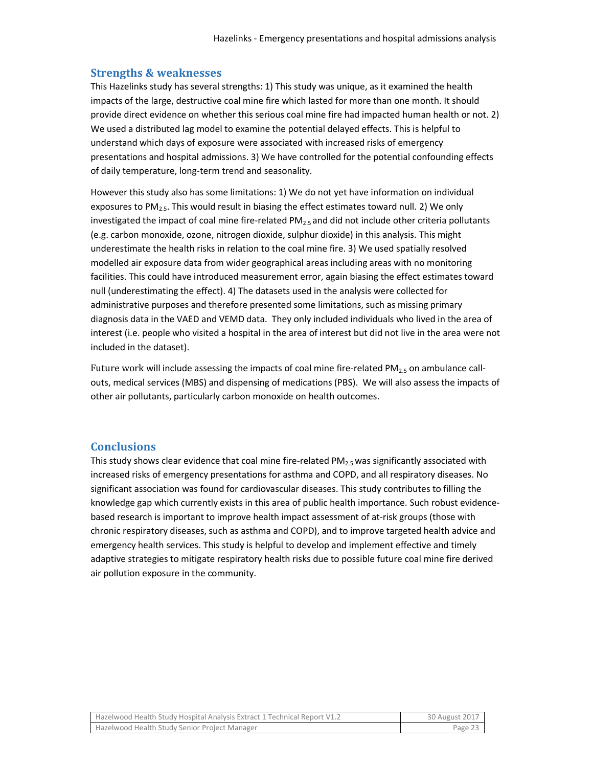#### **Strengths & weaknesses**

This Hazelinks study has several strengths: 1) This study was unique, as it examined the health impacts of the large, destructive coal mine fire which lasted for more than one month. It should provide direct evidence on whether this serious coal mine fire had impacted human health or not. 2) We used a distributed lag model to examine the potential delayed effects. This is helpful to understand which days of exposure were associated with increased risks of emergency presentations and hospital admissions. 3) We have controlled for the potential confounding effects of daily temperature, long-term trend and seasonality.

However this study also has some limitations: 1) We do not yet have information on individual exposures to  $PM_{2.5}$ . This would result in biasing the effect estimates toward null. 2) We only investigated the impact of coal mine fire-related  $PM_{2.5}$  and did not include other criteria pollutants (e.g. carbon monoxide, ozone, nitrogen dioxide, sulphur dioxide) in this analysis. This might underestimate the health risks in relation to the coal mine fire. 3) We used spatially resolved modelled air exposure data from wider geographical areas including areas with no monitoring facilities. This could have introduced measurement error, again biasing the effect estimates toward null (underestimating the effect). 4) The datasets used in the analysis were collected for administrative purposes and therefore presented some limitations, such as missing primary diagnosis data in the VAED and VEMD data. They only included individuals who lived in the area of interest (i.e. people who visited a hospital in the area of interest but did not live in the area were not included in the dataset).

Future work will include assessing the impacts of coal mine fire-related PM<sub>2.5</sub> on ambulance callouts, medical services (MBS) and dispensing of medications (PBS). We will also assess the impacts of other air pollutants, particularly carbon monoxide on health outcomes.

#### **Conclusions**

This study shows clear evidence that coal mine fire-related  $PM_{2.5}$  was significantly associated with increased risks of emergency presentations for asthma and COPD, and all respiratory diseases. No significant association was found for cardiovascular diseases. This study contributes to filling the knowledge gap which currently exists in this area of public health importance. Such robust evidencebased research is important to improve health impact assessment of at-risk groups (those with chronic respiratory diseases, such as asthma and COPD), and to improve targeted health advice and emergency health services. This study is helpful to develop and implement effective and timely adaptive strategies to mitigate respiratory health risks due to possible future coal mine fire derived air pollution exposure in the community.

| Hazelwood Health Study Hospital Analysis Extract 1 Technical Report V1.2 | 30 August 2017 |
|--------------------------------------------------------------------------|----------------|
| Hazelwood Health Study Senior Project Manager                            | Page 23        |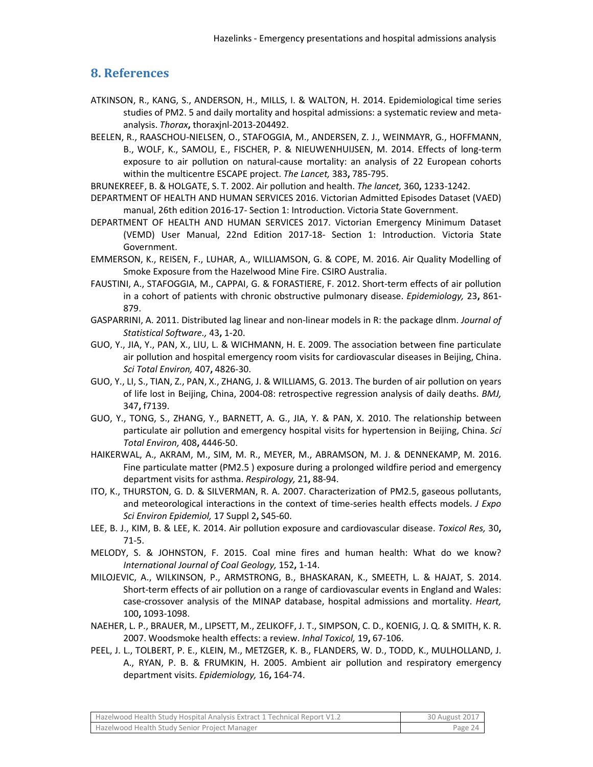## **8. References**

- ATKINSON, R., KANG, S., ANDERSON, H., MILLS, I. & WALTON, H. 2014. Epidemiological time series studies of PM2. 5 and daily mortality and hospital admissions: a systematic review and metaanalysis. *Thorax***,** thoraxjnl-2013-204492.
- BEELEN, R., RAASCHOU-NIELSEN, O., STAFOGGIA, M., ANDERSEN, Z. J., WEINMAYR, G., HOFFMANN, B., WOLF, K., SAMOLI, E., FISCHER, P. & NIEUWENHUIJSEN, M. 2014. Effects of long-term exposure to air pollution on natural-cause mortality: an analysis of 22 European cohorts within the multicentre ESCAPE project. *The Lancet,* 383**,** 785-795.
- BRUNEKREEF, B. & HOLGATE, S. T. 2002. Air pollution and health. *The lancet,* 360**,** 1233-1242.
- DEPARTMENT OF HEALTH AND HUMAN SERVICES 2016. Victorian Admitted Episodes Dataset (VAED) manual, 26th edition 2016-17- Section 1: Introduction. Victoria State Government.
- DEPARTMENT OF HEALTH AND HUMAN SERVICES 2017. Victorian Emergency Minimum Dataset (VEMD) User Manual, 22nd Edition 2017-18- Section 1: Introduction. Victoria State Government.
- EMMERSON, K., REISEN, F., LUHAR, A., WILLIAMSON, G. & COPE, M. 2016. Air Quality Modelling of Smoke Exposure from the Hazelwood Mine Fire. CSIRO Australia.
- FAUSTINI, A., STAFOGGIA, M., CAPPAI, G. & FORASTIERE, F. 2012. Short-term effects of air pollution in a cohort of patients with chronic obstructive pulmonary disease. *Epidemiology,* 23**,** 861- 879.
- GASPARRINI, A. 2011. Distributed lag linear and non-linear models in R: the package dlnm. *Journal of Statistical Software.,* 43**,** 1-20.
- GUO, Y., JIA, Y., PAN, X., LIU, L. & WICHMANN, H. E. 2009. The association between fine particulate air pollution and hospital emergency room visits for cardiovascular diseases in Beijing, China. *Sci Total Environ,* 407**,** 4826-30.
- GUO, Y., LI, S., TIAN, Z., PAN, X., ZHANG, J. & WILLIAMS, G. 2013. The burden of air pollution on years of life lost in Beijing, China, 2004-08: retrospective regression analysis of daily deaths. *BMJ,* 347**,** f7139.
- GUO, Y., TONG, S., ZHANG, Y., BARNETT, A. G., JIA, Y. & PAN, X. 2010. The relationship between particulate air pollution and emergency hospital visits for hypertension in Beijing, China. *Sci Total Environ,* 408**,** 4446-50.
- HAIKERWAL, A., AKRAM, M., SIM, M. R., MEYER, M., ABRAMSON, M. J. & DENNEKAMP, M. 2016. Fine particulate matter (PM2.5 ) exposure during a prolonged wildfire period and emergency department visits for asthma. *Respirology,* 21**,** 88-94.
- ITO, K., THURSTON, G. D. & SILVERMAN, R. A. 2007. Characterization of PM2.5, gaseous pollutants, and meteorological interactions in the context of time-series health effects models. *J Expo Sci Environ Epidemiol,* 17 Suppl 2**,** S45-60.
- LEE, B. J., KIM, B. & LEE, K. 2014. Air pollution exposure and cardiovascular disease. *Toxicol Res,* 30**,** 71-5.
- MELODY, S. & JOHNSTON, F. 2015. Coal mine fires and human health: What do we know? *International Journal of Coal Geology,* 152**,** 1-14.
- MILOJEVIC, A., WILKINSON, P., ARMSTRONG, B., BHASKARAN, K., SMEETH, L. & HAJAT, S. 2014. Short-term effects of air pollution on a range of cardiovascular events in England and Wales: case-crossover analysis of the MINAP database, hospital admissions and mortality. *Heart,* 100**,** 1093-1098.
- NAEHER, L. P., BRAUER, M., LIPSETT, M., ZELIKOFF, J. T., SIMPSON, C. D., KOENIG, J. Q. & SMITH, K. R. 2007. Woodsmoke health effects: a review. *Inhal Toxicol,* 19**,** 67-106.
- PEEL, J. L., TOLBERT, P. E., KLEIN, M., METZGER, K. B., FLANDERS, W. D., TODD, K., MULHOLLAND, J. A., RYAN, P. B. & FRUMKIN, H. 2005. Ambient air pollution and respiratory emergency department visits. *Epidemiology,* 16**,** 164-74.

| Hazelwood Health Study Hospital Analysis Extract 1 Technical Report V1.2 | 30 August 2017 |
|--------------------------------------------------------------------------|----------------|
| Hazelwood Health Study Senior Project Manager                            | Page 24        |